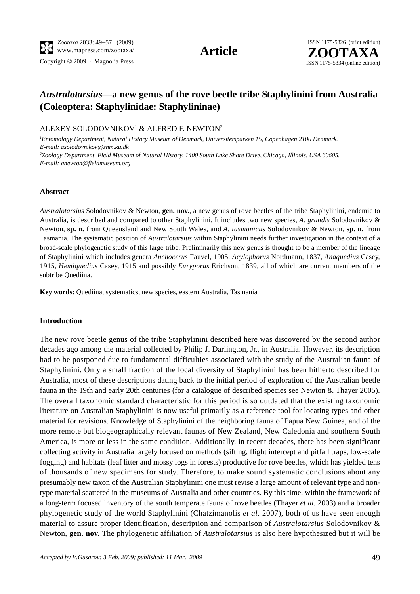Copyright © 2009 · Magnolia Press ISSN 1175-5334 (online edition)



# *Australotarsius***—a new genus of the rove beetle tribe Staphylinini from Australia (Coleoptera: Staphylinidae: Staphylininae)**

ALEXEY SOLODOVNIKOV<sup>1</sup> & ALFRED F. NEWTON<sup>2</sup>

*1 Entomology Department, Natural History Museum of Denmark, Universitetsparken 15, Copenhagen 2100 Denmark. E-mail: asolodovnikov@snm.ku.dk 2 Zoology Department, Field Museum of Natural History, 1400 South Lake Shore Drive, Chicago, Illinois, USA 60605. E-mail: anewton@fieldmuseum.org*

## **Abstract**

*Australotarsius* Solodovnikov & Newton, **gen. nov.**, a new genus of rove beetles of the tribe Staphylinini, endemic to Australia, is described and compared to other Staphylinini. It includes two new species, *A. grandis* Solodovnikov & Newton, **sp. n.** from Queensland and New South Wales, and *A. tasmanicus* Solodovnikov & Newton, **sp. n.** from Tasmania. The systematic position of *Australotarsius* within Staphylinini needs further investigation in the context of a broad-scale phylogenetic study of this large tribe. Preliminarily this new genus is thought to be a member of the lineage of Staphylinini which includes genera *Anchocerus* Fauvel, 1905, *Acylophorus* Nordmann, 1837, *Anaquedius* Casey, 1915, *Hemiquedius* Casey, 1915 and possibly *Euryporus* Erichson, 1839, all of which are current members of the subtribe Quediina.

**Key words:** Quediina, systematics, new species, eastern Australia, Tasmania

## **Introduction**

The new rove beetle genus of the tribe Staphylinini described here was discovered by the second author decades ago among the material collected by Philip J. Darlington, Jr., in Australia. However, its description had to be postponed due to fundamental difficulties associated with the study of the Australian fauna of Staphylinini. Only a small fraction of the local diversity of Staphylinini has been hitherto described for Australia, most of these descriptions dating back to the initial period of exploration of the Australian beetle fauna in the 19th and early 20th centuries (for a catalogue of described species see Newton & Thayer 2005). The overall taxonomic standard characteristic for this period is so outdated that the existing taxonomic literature on Australian Staphylinini is now useful primarily as a reference tool for locating types and other material for revisions. Knowledge of Staphylinini of the neighboring fauna of Papua New Guinea, and of the more remote but biogeographically relevant faunas of New Zealand, New Caledonia and southern South America, is more or less in the same condition. Additionally, in recent decades, there has been significant collecting activity in Australia largely focused on methods (sifting, flight intercept and pitfall traps, low-scale fogging) and habitats (leaf litter and mossy logs in forests) productive for rove beetles, which has yielded tens of thousands of new specimens for study. Therefore, to make sound systematic conclusions about any presumably new taxon of the Australian Staphylinini one must revise a large amount of relevant type and nontype material scattered in the museums of Australia and other countries. By this time, within the framework of a long-term focused inventory of the south temperate fauna of rove beetles (Thayer *et al.* 2003) and a broader phylogenetic study of the world Staphylinini (Chatzimanolis *et al*. 2007), both of us have seen enough material to assure proper identification, description and comparison of *Australotarsius* Solodovnikov & Newton, **gen. nov.** The phylogenetic affiliation of *Australotarsius* is also here hypothesized but it will be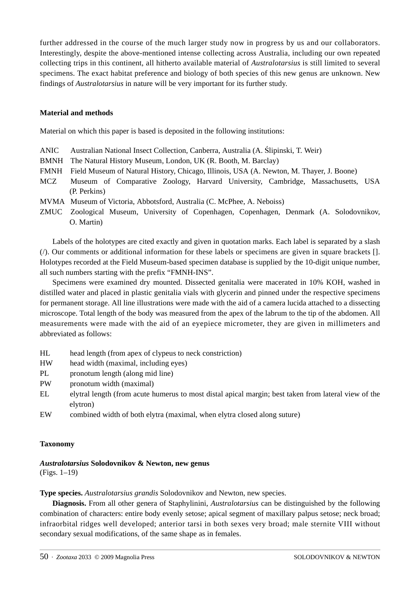further addressed in the course of the much larger study now in progress by us and our collaborators. Interestingly, despite the above-mentioned intense collecting across Australia, including our own repeated collecting trips in this continent, all hitherto available material of *Australotarsius* is still limited to several specimens. The exact habitat preference and biology of both species of this new genus are unknown. New findings of *Australotarsius* in nature will be very important for its further study.

# **Material and methods**

Material on which this paper is based is deposited in the following institutions:

- ANIC Australian National Insect Collection, Canberra, Australia (A. Ślipinski, T. Weir)
- BMNH The Natural History Museum, London, UK (R. Booth, M. Barclay)
- FMNH Field Museum of Natural History, Chicago, Illinois, USA (A. Newton, M. Thayer, J. Boone)
- MCZ Museum of Comparative Zoology, Harvard University, Cambridge, Massachusetts, USA (P. Perkins)
- MVMA Museum of Victoria, Abbotsford, Australia (C. McPhee, A. Neboiss)
- ZMUC Zoological Museum, University of Copenhagen, Copenhagen, Denmark (A. Solodovnikov, O. Martin)

Labels of the holotypes are cited exactly and given in quotation marks. Each label is separated by a slash (/). Our comments or additional information for these labels or specimens are given in square brackets []. Holotypes recorded at the Field Museum-based specimen database is supplied by the 10-digit unique number, all such numbers starting with the prefix "FMNH-INS".

Specimens were examined dry mounted. Dissected genitalia were macerated in 10% KOH, washed in distilled water and placed in plastic genitalia vials with glycerin and pinned under the respective specimens for permanent storage. All line illustrations were made with the aid of a camera lucida attached to a dissecting microscope. Total length of the body was measured from the apex of the labrum to the tip of the abdomen. All measurements were made with the aid of an eyepiece micrometer, they are given in millimeters and abbreviated as follows:

- HL head length (from apex of clypeus to neck constriction)
- HW head width (maximal, including eyes)
- PL pronotum length (along mid line)
- PW pronotum width (maximal)
- EL elytral length (from acute humerus to most distal apical margin; best taken from lateral view of the elytron)
- EW combined width of both elytra (maximal, when elytra closed along suture)

## **Taxonomy**

#### *Australotarsius* **Solodovnikov & Newton, new genus** (Figs. 1–19)

**Type species.** *Australotarsius grandis* Solodovnikov and Newton, new species.

**Diagnosis.** From all other genera of Staphylinini, *Australotarsius* can be distinguished by the following combination of characters: entire body evenly setose; apical segment of maxillary palpus setose; neck broad; infraorbital ridges well developed; anterior tarsi in both sexes very broad; male sternite VIII without secondary sexual modifications, of the same shape as in females.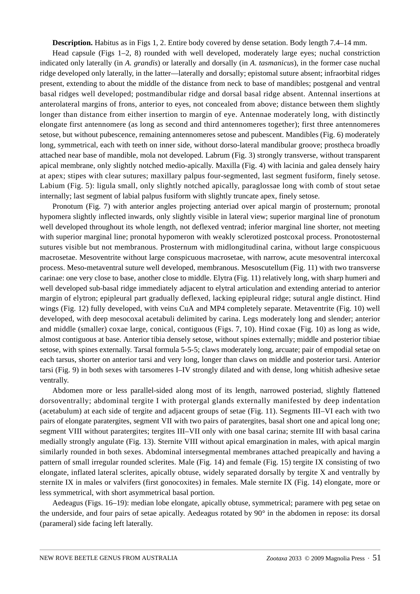**Description.** Habitus as in Figs 1, 2. Entire body covered by dense setation. Body length 7.4–14 mm.

Head capsule (Figs 1–2, 8) rounded with well developed, moderately large eyes; nuchal constriction indicated only laterally (in *A. grandis*) or laterally and dorsally (in *A. tasmanicus*), in the former case nuchal ridge developed only laterally, in the latter—laterally and dorsally; epistomal suture absent; infraorbital ridges present, extending to about the middle of the distance from neck to base of mandibles; postgenal and ventral basal ridges well developed; postmandibular ridge and dorsal basal ridge absent. Antennal insertions at anterolateral margins of frons, anterior to eyes, not concealed from above; distance between them slightly longer than distance from either insertion to margin of eye. Antennae moderately long, with distinctly elongate first antennomere (as long as second and third antennomeres together); first three antennomeres setose, but without pubescence, remaining antennomeres setose and pubescent. Mandibles (Fig. 6) moderately long, symmetrical, each with teeth on inner side, without dorso-lateral mandibular groove; prostheca broadly attached near base of mandible, mola not developed. Labrum (Fig. 3) strongly transverse, without transparent apical membrane, only slightly notched medio-apically. Maxilla (Fig. 4) with lacinia and galea densely hairy at apex; stipes with clear sutures; maxillary palpus four-segmented, last segment fusiform, finely setose. Labium (Fig. 5): ligula small, only slightly notched apically, paraglossae long with comb of stout setae internally; last segment of labial palpus fusiform with slightly truncate apex, finely setose.

Pronotum (Fig. 7) with anterior angles projecting anteriad over apical margin of prosternum; pronotal hypomera slightly inflected inwards, only slightly visible in lateral view; superior marginal line of pronotum well developed throughout its whole length, not deflexed ventrad; inferior marginal line shorter, not meeting with superior marginal line; pronotal hypomeron with weakly sclerotized postcoxal process. Pronotosternal sutures visible but not membranous. Prosternum with midlongitudinal carina, without large conspicuous macrosetae. Mesoventrite without large conspicuous macrosetae, with narrow, acute mesoventral intercoxal process. Meso-metaventral suture well developed, membranous. Mesoscutellum (Fig. 11) with two transverse carinae: one very close to base, another close to middle. Elytra (Fig. 11) relatively long, with sharp humeri and well developed sub-basal ridge immediately adjacent to elytral articulation and extending anteriad to anterior margin of elytron; epipleural part gradually deflexed, lacking epipleural ridge; sutural angle distinct. Hind wings (Fig. 12) fully developed, with veins CuA and MP4 completely separate. Metaventrite (Fig. 10) well developed, with deep mesocoxal acetabuli delimited by carina. Legs moderately long and slender; anterior and middle (smaller) coxae large, conical, contiguous (Figs. 7, 10). Hind coxae (Fig. 10) as long as wide, almost contiguous at base. Anterior tibia densely setose, without spines externally; middle and posterior tibiae setose, with spines externally. Tarsal formula 5-5-5; claws moderately long, arcuate; pair of empodial setae on each tarsus, shorter on anterior tarsi and very long, longer than claws on middle and posterior tarsi. Anterior tarsi (Fig. 9) in both sexes with tarsomeres I–IV strongly dilated and with dense, long whitish adhesive setae ventrally.

Abdomen more or less parallel-sided along most of its length, narrowed posteriad, slightly flattened dorsoventrally; abdominal tergite I with protergal glands externally manifested by deep indentation (acetabulum) at each side of tergite and adjacent groups of setae (Fig. 11). Segments III–VI each with two pairs of elongate paratergites, segment VII with two pairs of paratergites, basal short one and apical long one; segment VIII without paratergites; tergites III–VII only with one basal carina; sternite III with basal carina medially strongly angulate (Fig. 13). Sternite VIII without apical emargination in males, with apical margin similarly rounded in both sexes. Abdominal intersegmental membranes attached preapically and having a pattern of small irregular rounded sclerites. Male (Fig. 14) and female (Fig. 15) tergite IX consisting of two elongate, inflated lateral sclerites, apically obtuse, widely separated dorsally by tergite X and ventrally by sternite IX in males or valvifers (first gonocoxites) in females. Male sternite IX (Fig. 14) elongate, more or less symmetrical, with short asymmetrical basal portion.

Aedeagus (Figs. 16–19): median lobe elongate, apically obtuse, symmetrical; paramere with peg setae on the underside, and four pairs of setae apically. Aedeagus rotated by 90° in the abdomen in repose: its dorsal (parameral) side facing left laterally.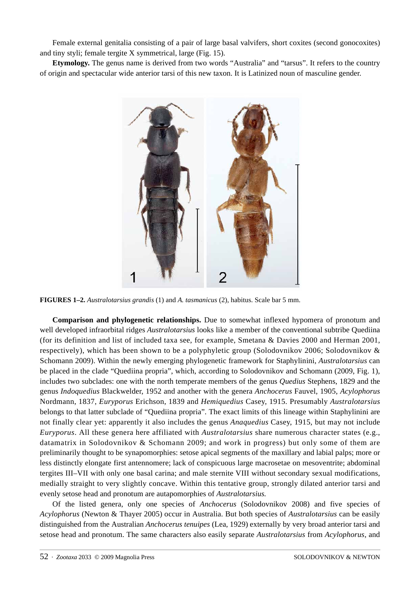Female external genitalia consisting of a pair of large basal valvifers, short coxites (second gonocoxites) and tiny styli; female tergite X symmetrical, large (Fig. 15).

**Etymology.** The genus name is derived from two words "Australia" and "tarsus". It refers to the country of origin and spectacular wide anterior tarsi of this new taxon. It is Latinized noun of masculine gender.



**FIGURES 1–2.** *Australotarsius grandis* (1) and *A. tasmanicus* (2), habitus. Scale bar 5 mm.

**Comparison and phylogenetic relationships.** Due to somewhat inflexed hypomera of pronotum and well developed infraorbital ridges *Australotarsius* looks like a member of the conventional subtribe Quediina (for its definition and list of included taxa see, for example, Smetana & Davies 2000 and Herman 2001, respectively), which has been shown to be a polyphyletic group (Solodovnikov 2006; Solodovnikov & Schomann 2009). Within the newly emerging phylogenetic framework for Staphylinini, *Australotarsius* can be placed in the clade "Quediina propria", which, according to Solodovnikov and Schomann (2009, Fig. 1), includes two subclades: one with the north temperate members of the genus *Quedius* Stephens, 1829 and the genus *Indoquedius* Blackwelder, 1952 and another with the genera *Anchocerus* Fauvel, 1905, *Acylophorus*  Nordmann, 1837, *Euryporus* Erichson, 1839 and *Hemiquedius* Casey, 1915. Presumably *Australotarsius* belongs to that latter subclade of "Quediina propria". The exact limits of this lineage within Staphylinini are not finally clear yet: apparently it also includes the genus *Anaquedius* Casey, 1915, but may not include *Euryporus*. All these genera here affiliated with *Australotarsius* share numerous character states (e.g., datamatrix in Solodovnikov & Schomann 2009; and work in progress) but only some of them are preliminarily thought to be synapomorphies: setose apical segments of the maxillary and labial palps; more or less distinctly elongate first antennomere; lack of conspicuous large macrosetae on mesoventrite; abdominal tergites III–VII with only one basal carina; and male sternite VIII without secondary sexual modifications, medially straight to very slightly concave. Within this tentative group, strongly dilated anterior tarsi and evenly setose head and pronotum are autapomorphies of *Australotarsius.*

Of the listed genera, only one species of *Anchocerus* (Solodovnikov 2008) and five species of *Acylophorus* (Newton & Thayer 2005) occur in Australia. But both species of *Australotarsius* can be easily distinguished from the Australian *Anchocerus tenuipes* (Lea, 1929) externally by very broad anterior tarsi and setose head and pronotum. The same characters also easily separate *Australotarsius* from *Acylophorus*, and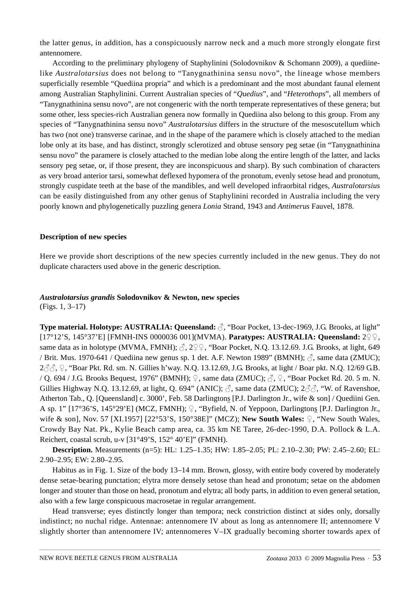the latter genus, in addition, has a conspicuously narrow neck and a much more strongly elongate first antennomere.

According to the preliminary phylogeny of Staphylinini (Solodovnikov & Schomann 2009), a quediinelike *Australotarsius* does not belong to "Tanygnathinina sensu novo", the lineage whose members superficially resemble "Quediina propria" and which is a predominant and the most abundant faunal element among Australian Staphylinini. Current Australian species of "*Quedius*", and "*Heterothops*", all members of "Tanygnathinina sensu novo", are not congeneric with the north temperate representatives of these genera; but some other, less species-rich Australian genera now formally in Quediina also belong to this group. From any species of "Tanygnathinina sensu novo" *Australotarsius* differs in the structure of the mesoscutellum which has two (not one) transverse carinae, and in the shape of the paramere which is closely attached to the median lobe only at its base, and has distinct, strongly sclerotized and obtuse sensory peg setae (in "Tanygnathinina sensu novo" the paramere is closely attached to the median lobe along the entire length of the latter, and lacks sensory peg setae, or, if those present, they are inconspicuous and sharp). By such combination of characters as very broad anterior tarsi, somewhat deflexed hypomera of the pronotum, evenly setose head and pronotum, strongly cuspidate teeth at the base of the mandibles, and well developed infraorbital ridges, *Australotarsius* can be easily distinguished from any other genus of Staphylinini recorded in Australia including the very poorly known and phylogenetically puzzling genera *Lonia* Strand, 1943 and *Antimerus* Fauvel, 1878.

## **Description of new species**

Here we provide short descriptions of the new species currently included in the new genus. They do not duplicate characters used above in the generic description.

#### *Australotarsius grandis* **Solodovnikov & Newton, new species** (Figs. 1, 3–17)

**Type material. Holotype: AUSTRALIA: Queensland:** ♂, "Boar Pocket, 13-dec-1969, J.G. Brooks, at light" [17°12'S, 145°37'E] [FMNH-INS 0000036 001](MVMA). **Paratypes: AUSTRALIA: Queensland:** 2♀♀, same data as in holotype (MVMA, FMNH);  $\Diamond$ ,  $2\Diamond \Diamond$ , "Boar Pocket, N.Q. 13.12.69. J.G. Brooks, at light, 649 / Brit. Mus. 1970-641 / Quediina new genus sp. 1 det. A.F. Newton 1989" (BMNH);  $\hat{\beta}$ , same data (ZMUC);  $2\textdegree$  $3\textdegree$ ,  $9\textdegree$ , "Boar Pkt. Rd. sm. N. Gillies h'way. N.O. 13.12.69, J.G. Brooks, at light / Boar pkt. N.O. 12/69 G.B. / Q. 694 / J.G. Brooks Bequest, 1976" (BMNH);  $\varphi$ , same data (ZMUC);  $\hat{\beta}$ ,  $\varphi$ , "Boar Pocket Rd. 20. 5 m. N. Gillies Highway N.Q. 13.12.69, at light, Q. 694" (ANIC);  $\beta$ , same data (ZMUC);  $2\beta\beta$ , "W. of Ravenshoe, Atherton Tab., Q. [Queensland] c. 3000', Feb. 58 Darlingtons [P.J. Darlington Jr., wife & son] / Quediini Gen. A sp. 1" [17°36'S, 145°29'E] (MCZ, FMNH); ♀, "Byfield, N. of Yeppoon, Darlingtons [P.J. Darlington Jr., wife & son], Nov. 57 [XI.1957] [22°53'S, 150°38E]" (MCZ); **New South Wales:** ♀, "New South Wales, Crowdy Bay Nat. Pk., Kylie Beach camp area, ca. 35 km NE Taree, 26-dec-1990, D.A. Pollock & L.A. Reichert, coastal scrub, u-v [31°49'S, 152° 40'E]" (FMNH).

**Description.** Measurements (n=5): HL: 1.25–1.35; HW: 1.85–2.05; PL: 2.10–2.30; PW: 2.45–2.60; EL: 2.90–2.95; EW: 2.80–2.95.

Habitus as in Fig. 1. Size of the body 13–14 mm. Brown, glossy, with entire body covered by moderately dense setae-bearing punctation; elytra more densely setose than head and pronotum; setae on the abdomen longer and stouter than those on head, pronotum and elytra; all body parts, in addition to even general setation, also with a few large conspicuous macrosetae in regular arrangement.

Head transverse; eyes distinctly longer than tempora; neck constriction distinct at sides only, dorsally indistinct; no nuchal ridge. Antennae: antennomere IV about as long as antennomere II; antennomere V slightly shorter than antennomere IV; antennomeres V–IX gradually becoming shorter towards apex of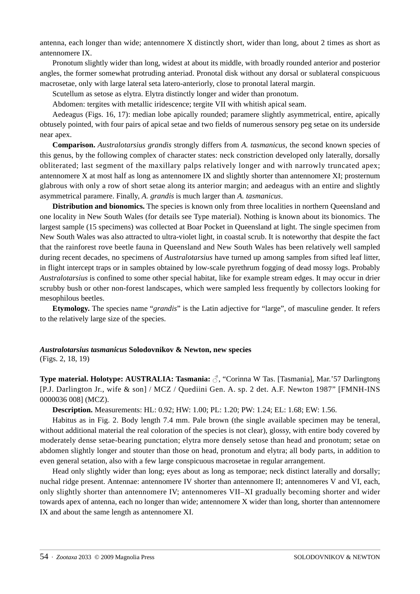antenna, each longer than wide; antennomere X distinctly short, wider than long, about 2 times as short as antennomere IX.

Pronotum slightly wider than long, widest at about its middle, with broadly rounded anterior and posterior angles, the former somewhat protruding anteriad. Pronotal disk without any dorsal or sublateral conspicuous macrosetae, only with large lateral seta latero-anteriorly, close to pronotal lateral margin.

Scutellum as setose as elytra. Elytra distinctly longer and wider than pronotum.

Abdomen: tergites with metallic iridescence; tergite VII with whitish apical seam.

Aedeagus (Figs. 16, 17): median lobe apically rounded; paramere slightly asymmetrical, entire, apically obtusely pointed, with four pairs of apical setae and two fields of numerous sensory peg setae on its underside near apex.

**Comparison.** *Australotarsius grandis* strongly differs from *A. tasmanicus*, the second known species of this genus, by the following complex of character states: neck constriction developed only laterally, dorsally obliterated; last segment of the maxillary palps relatively longer and with narrowly truncated apex; antennomere X at most half as long as antennomere IX and slightly shorter than antennomere XI; prosternum glabrous with only a row of short setae along its anterior margin; and aedeagus with an entire and slightly asymmetrical paramere. Finally, *A. grandis* is much larger than *A. tasmanicus*.

**Distribution and bionomics.** The species is known only from three localities in northern Queensland and one locality in New South Wales (for details see Type material). Nothing is known about its bionomics. The largest sample (15 specimens) was collected at Boar Pocket in Queensland at light. The single specimen from New South Wales was also attracted to ultra-violet light, in coastal scrub. It is noteworthy that despite the fact that the rainforest rove beetle fauna in Queensland and New South Wales has been relatively well sampled during recent decades, no specimens of *Australotarsius* have turned up among samples from sifted leaf litter, in flight intercept traps or in samples obtained by low-scale pyrethrum fogging of dead mossy logs. Probably *Australotarsius* is confined to some other special habitat, like for example stream edges. It may occur in drier scrubby bush or other non-forest landscapes, which were sampled less frequently by collectors looking for mesophilous beetles.

**Etymology.** The species name "*grandis*" is the Latin adjective for "large", of masculine gender. It refers to the relatively large size of the species.

# *Australotarsius tasmanicus* **Solodovnikov & Newton, new species** (Figs. 2, 18, 19)

**Type material. Holotype: AUSTRALIA: Tasmania:** ♂, "Corinna W Tas. [Tasmania], Mar.'57 Darlingtons [P.J. Darlington Jr., wife & son] / MCZ / Quediini Gen. A. sp. 2 det. A.F. Newton 1987" [FMNH-INS 0000036 008] (MCZ).

**Description.** Measurements: HL: 0.92; HW: 1.00; PL: 1.20; PW: 1.24; EL: 1.68; EW: 1.56.

Habitus as in Fig. 2. Body length 7.4 mm. Pale brown (the single available specimen may be teneral, without additional material the real coloration of the species is not clear), glossy, with entire body covered by moderately dense setae-bearing punctation; elytra more densely setose than head and pronotum; setae on abdomen slightly longer and stouter than those on head, pronotum and elytra; all body parts, in addition to even general setation, also with a few large conspicuous macrosetae in regular arrangement.

Head only slightly wider than long; eyes about as long as temporae; neck distinct laterally and dorsally; nuchal ridge present. Antennae: antennomere IV shorter than antennomere II; antennomeres V and VI, each, only slightly shorter than antennomere IV; antennomeres VII–XI gradually becoming shorter and wider towards apex of antenna, each no longer than wide; antennomere X wider than long, shorter than antennomere IX and about the same length as antennomere XI.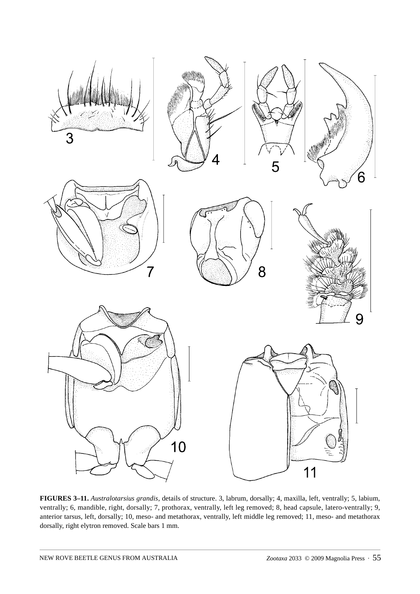

**FIGURES 3–11.** *Australotarsius grandis*, details of structure. 3, labrum, dorsally; 4, maxilla, left, ventrally; 5, labium, ventrally; 6, mandible, right, dorsally; 7, prothorax, ventrally, left leg removed; 8, head capsule, latero-ventrally; 9, anterior tarsus, left, dorsally; 10, meso- and metathorax, ventrally, left middle leg removed; 11, meso- and metathorax dorsally, right elytron removed. Scale bars 1 mm.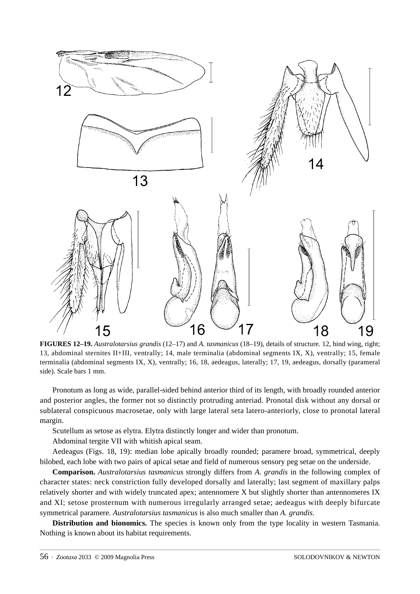

**FIGURES 12–19.** *Australotarsius grandis* (12–17) and *A. tasmanicus* (18–19), details of structure. 12, hind wing, right; 13, abdominal sternites II+III, ventrally; 14, male terminalia (abdominal segments IX, X), ventrally; 15, female terminalia (abdominal segments IX, X), ventrally; 16, 18, aedeagus, laterally; 17, 19, aedeagus, dorsally (parameral side). Scale bars 1 mm.

Pronotum as long as wide, parallel-sided behind anterior third of its length, with broadly rounded anterior and posterior angles, the former not so distinctly protruding anteriad. Pronotal disk without any dorsal or sublateral conspicuous macrosetae, only with large lateral seta latero-anteriorly, close to pronotal lateral margin.

Scutellum as setose as elytra. Elytra distinctly longer and wider than pronotum.

Abdominal tergite VII with whitish apical seam.

Aedeagus (Figs. 18, 19): median lobe apically broadly rounded; paramere broad, symmetrical, deeply bilobed, each lobe with two pairs of apical setae and field of numerous sensory peg setae on the underside.

**Comparison.** *Australotarsius tasmanicus* strongly differs from *A. grandis* in the following complex of character states: neck constriction fully developed dorsally and laterally; last segment of maxillary palps relatively shorter and with widely truncated apex; antennomere X but slightly shorter than antennomeres IX and XI; setose prosternum with numerous irregularly arranged setae; aedeagus with deeply bifurcate symmetrical paramere. *Australotarsius tasmanicus* is also much smaller than *A. grandis.*

**Distribution and bionomics.** The species is known only from the type locality in western Tasmania. Nothing is known about its habitat requirements.